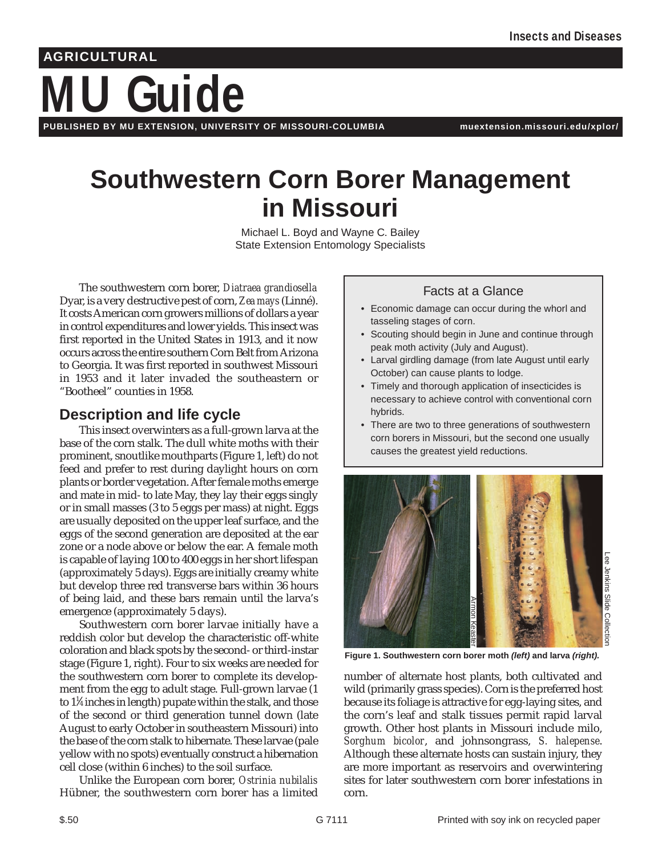# **MU Guide AGRICULTURAL**

**PUBLISHED BY MU EXTENSION, UNIVERSITY OF MISSOURI-COLUMBIA muextension.missouri.edu/xplor/**

## **Southwestern Corn Borer Management in Missouri**

Michael L. Boyd and Wayne C. Bailey State Extension Entomology Specialists

The southwestern corn borer, *Diatraea grandiosella* Dyar, is a very destructive pest of corn, *Zea mays* (Linné). It costs American corn growers millions of dollars a year in control expenditures and lower yields. This insect was first reported in the United States in 1913, and it now occurs across the entire southern Corn Belt from Arizona to Georgia. It was first reported in southwest Missouri in 1953 and it later invaded the southeastern or "Bootheel" counties in 1958.

### **Description and life cycle**

This insect overwinters as a full-grown larva at the base of the corn stalk. The dull white moths with their prominent, snoutlike mouthparts (Figure 1, left) do not feed and prefer to rest during daylight hours on corn plants or border vegetation. After female moths emerge and mate in mid- to late May, they lay their eggs singly or in small masses (3 to 5 eggs per mass) at night. Eggs are usually deposited on the upper leaf surface, and the eggs of the second generation are deposited at the ear zone or a node above or below the ear. A female moth is capable of laying 100 to 400 eggs in her short lifespan (approximately 5 days). Eggs are initially creamy white but develop three red transverse bars within 36 hours of being laid, and these bars remain until the larva's emergence (approximately 5 days).

Southwestern corn borer larvae initially have a reddish color but develop the characteristic off-white coloration and black spots by the second- or third-instar stage (Figure 1, right). Four to six weeks are needed for the southwestern corn borer to complete its development from the egg to adult stage. Full-grown larvae (1 to  $1\%$  inches in length) pupate within the stalk, and those of the second or third generation tunnel down (late August to early October in southeastern Missouri) into the base of the corn stalk to hibernate. These larvae (pale yellow with no spots) eventually construct a hibernation cell close (within 6 inches) to the soil surface.

Unlike the European corn borer, *Ostrinia nubilalis* Hübner, the southwestern corn borer has a limited

#### Facts at a Glance

- Economic damage can occur during the whorl and tasseling stages of corn.
- Scouting should begin in June and continue through peak moth activity (July and August).
- Larval girdling damage (from late August until early October) can cause plants to lodge.
- Timely and thorough application of insecticides is necessary to achieve control with conventional corn hybrids.
- There are two to three generations of southwestern corn borers in Missouri, but the second one usually causes the greatest yield reductions.



**Figure 1. Southwestern corn borer moth (left) and larva (right).**

number of alternate host plants, both cultivated and wild (primarily grass species). Corn is the preferred host because its foliage is attractive for egg-laying sites, and the corn's leaf and stalk tissues permit rapid larval growth. Other host plants in Missouri include milo, *Sorghum bicolor*, and johnsongrass, *S. halepense*. Although these alternate hosts can sustain injury, they are more important as reservoirs and overwintering sites for later southwestern corn borer infestations in corn.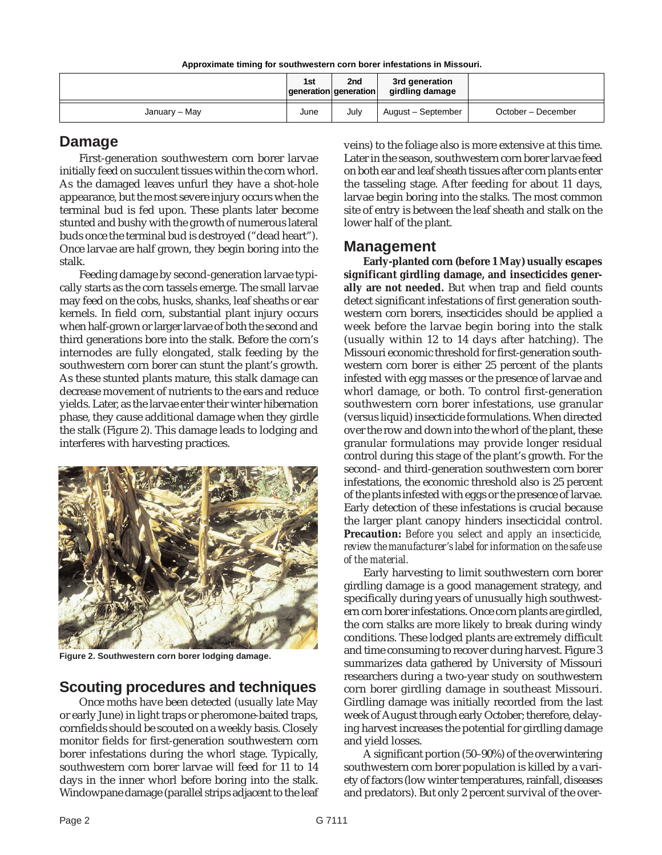| Approximate timing for southwestern corn borer infestations in Missouri. |  |  |
|--------------------------------------------------------------------------|--|--|
|                                                                          |  |  |

|               | 1st  | 2 <sub>nd</sub><br>$ q$ eneration $ q$ eneration | 3rd generation<br>girdling damage |                    |
|---------------|------|--------------------------------------------------|-----------------------------------|--------------------|
| January – May | June | July                                             | August - September                | October – December |

#### **Damage**

First-generation southwestern corn borer larvae initially feed on succulent tissues within the corn whorl. As the damaged leaves unfurl they have a shot-hole appearance, but the most severe injury occurs when the terminal bud is fed upon. These plants later become stunted and bushy with the growth of numerous lateral buds once the terminal bud is destroyed ("dead heart"). Once larvae are half grown, they begin boring into the stalk.

Feeding damage by second-generation larvae typically starts as the corn tassels emerge. The small larvae may feed on the cobs, husks, shanks, leaf sheaths or ear kernels. In field corn, substantial plant injury occurs when half-grown or larger larvae of both the second and third generations bore into the stalk. Before the corn's internodes are fully elongated, stalk feeding by the southwestern corn borer can stunt the plant's growth. As these stunted plants mature, this stalk damage can decrease movement of nutrients to the ears and reduce yields. Later, as the larvae enter their winter hibernation phase, they cause additional damage when they girdle the stalk (Figure 2). This damage leads to lodging and interferes with harvesting practices.



**Figure 2. Southwestern corn borer lodging damage.**

#### **Scouting procedures and techniques**

Once moths have been detected (usually late May or early June) in light traps or pheromone-baited traps, cornfields should be scouted on a weekly basis. Closely monitor fields for first-generation southwestern corn borer infestations during the whorl stage. Typically, southwestern corn borer larvae will feed for 11 to 14 days in the inner whorl before boring into the stalk. Windowpane damage (parallel strips adjacent to the leaf

veins) to the foliage also is more extensive at this time. Later in the season, southwestern corn borer larvae feed on both ear and leaf sheath tissues after corn plants enter the tasseling stage. After feeding for about 11 days, larvae begin boring into the stalks. The most common site of entry is between the leaf sheath and stalk on the lower half of the plant.

#### **Management**

**Early-planted corn (before 1 May) usually escapes significant girdling damage, and insecticides generally are not needed.** But when trap and field counts detect significant infestations of first generation southwestern corn borers, insecticides should be applied a week before the larvae begin boring into the stalk (usually within 12 to 14 days after hatching). The Missouri economic threshold for first-generation southwestern corn borer is either 25 percent of the plants infested with egg masses or the presence of larvae and whorl damage, or both. To control first-generation southwestern corn borer infestations, use granular (versus liquid) insecticide formulations. When directed over the row and down into the whorl of the plant, these granular formulations may provide longer residual control during this stage of the plant's growth. For the second- and third-generation southwestern corn borer infestations, the economic threshold also is 25 percent of the plants infested with eggs or the presence of larvae. Early detection of these infestations is crucial because the larger plant canopy hinders insecticidal control. **Precaution:** *Before you select and apply an insecticide, review the manufacturer's label for information on the safe use of the material.*

Early harvesting to limit southwestern corn borer girdling damage is a good management strategy, and specifically during years of unusually high southwestern corn borer infestations. Once corn plants are girdled, the corn stalks are more likely to break during windy conditions. These lodged plants are extremely difficult and time consuming to recover during harvest. Figure 3 summarizes data gathered by University of Missouri researchers during a two-year study on southwestern corn borer girdling damage in southeast Missouri. Girdling damage was initially recorded from the last week of August through early October; therefore, delaying harvest increases the potential for girdling damage and yield losses.

A significant portion (50–90%) of the overwintering southwestern corn borer population is killed by a variety of factors (low winter temperatures, rainfall, diseases and predators). But only 2 percent survival of the over